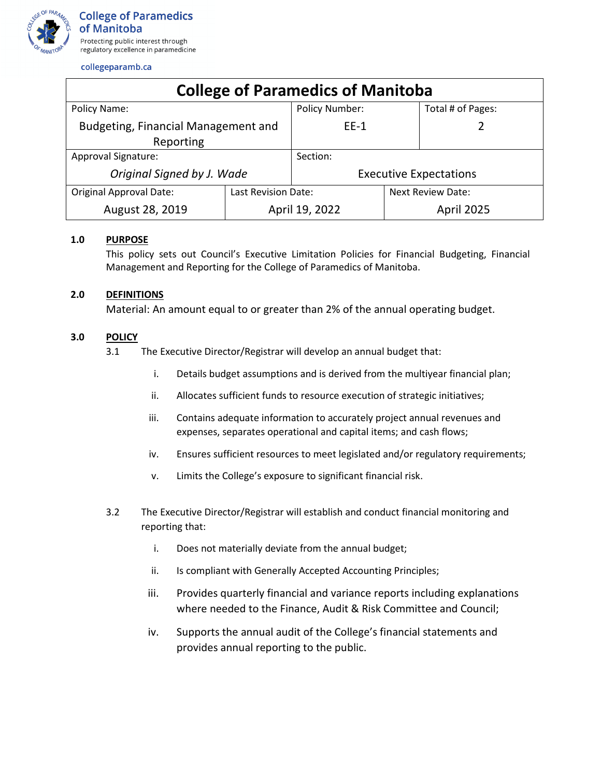

## collegeparamb.ca

| <b>College of Paramedics of Manitoba</b> |                     |                               |                          |                   |
|------------------------------------------|---------------------|-------------------------------|--------------------------|-------------------|
| Policy Name:                             |                     | <b>Policy Number:</b>         |                          | Total # of Pages: |
| Budgeting, Financial Management and      |                     | $EE-1$                        |                          |                   |
| Reporting                                |                     |                               |                          |                   |
| Approval Signature:                      |                     | Section:                      |                          |                   |
| Original Signed by J. Wade               |                     | <b>Executive Expectations</b> |                          |                   |
| <b>Original Approval Date:</b>           | Last Revision Date: |                               | <b>Next Review Date:</b> |                   |
| August 28, 2019                          | April 19, 2022      |                               |                          | <b>April 2025</b> |

## **1.0 PURPOSE**

This policy sets out Council's Executive Limitation Policies for Financial Budgeting, Financial Management and Reporting for the College of Paramedics of Manitoba.

## **2.0 DEFINITIONS**

Material: An amount equal to or greater than 2% of the annual operating budget.

## **3.0 POLICY**

- 3.1 The Executive Director/Registrar will develop an annual budget that:
	- i. Details budget assumptions and is derived from the multiyear financial plan;
	- ii. Allocates sufficient funds to resource execution of strategic initiatives;
	- iii. Contains adequate information to accurately project annual revenues and expenses, separates operational and capital items; and cash flows;
	- iv. Ensures sufficient resources to meet legislated and/or regulatory requirements;
	- v. Limits the College's exposure to significant financial risk.
- 3.2 The Executive Director/Registrar will establish and conduct financial monitoring and reporting that:
	- i. Does not materially deviate from the annual budget;
	- ii. Is compliant with Generally Accepted Accounting Principles;
	- iii. Provides quarterly financial and variance reports including explanations where needed to the Finance, Audit & Risk Committee and Council;
	- iv. Supports the annual audit of the College's financial statements and provides annual reporting to the public.